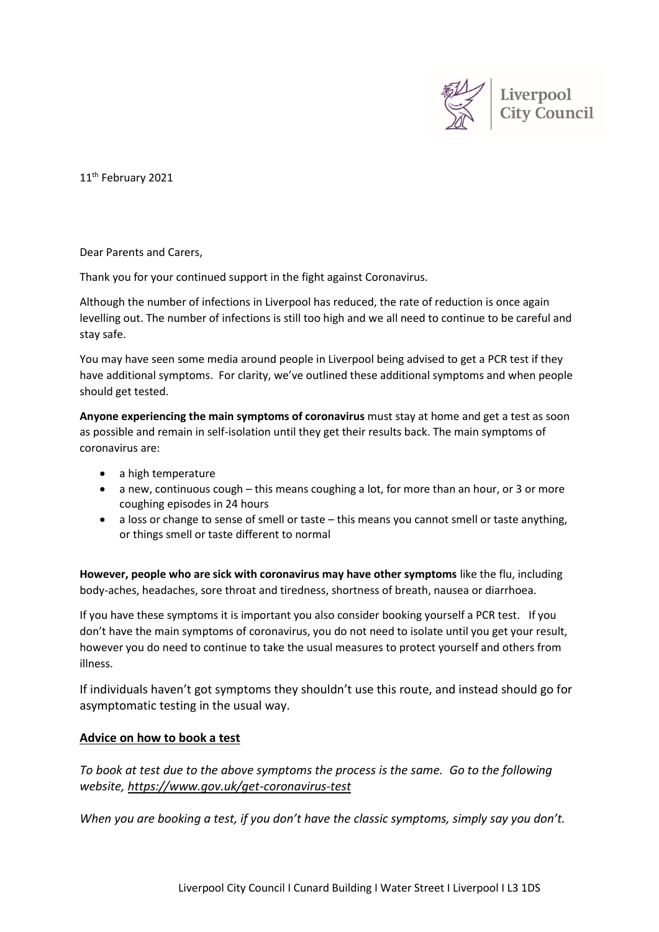

11<sup>th</sup> February 2021

Dear Parents and Carers,

Thank you for your continued support in the fight against Coronavirus.

Although the number of infections in Liverpool has reduced, the rate of reduction is once again levelling out. The number of infections is still too high and we all need to continue to be careful and stay safe.

You may have seen some media around people in Liverpool being advised to get a PCR test if they have additional symptoms. For clarity, we've outlined these additional symptoms and when people should get tested.

**Anyone experiencing the main symptoms of coronavirus** must stay at home and get a test as soon as possible and remain in self-isolation until they get their results back. The main symptoms of coronavirus are:

- a high temperature
- a new, continuous cough this means coughing a lot, for more than an hour, or 3 or more coughing episodes in 24 hours
- a loss or change to sense of smell or taste this means you cannot smell or taste anything, or things smell or taste different to normal

**However, people who are sick with coronavirus may have other symptoms** like the flu, including body-aches, headaches, sore throat and tiredness, shortness of breath, nausea or diarrhoea.

If you have these symptoms it is important you also consider booking yourself a PCR test. If you don't have the main symptoms of coronavirus, you do not need to isolate until you get your result, however you do need to continue to take the usual measures to protect yourself and others from illness.

If individuals haven't got symptoms they shouldn't use this route, and instead should go for asymptomatic testing in the usual way.

## **Advice on how to book a test**

*To book at test due to the above symptoms the process is the same. Go to the following website, <https://www.gov.uk/get-coronavirus-test>*

*When you are booking a test, if you don't have the classic symptoms, simply say you don't.*